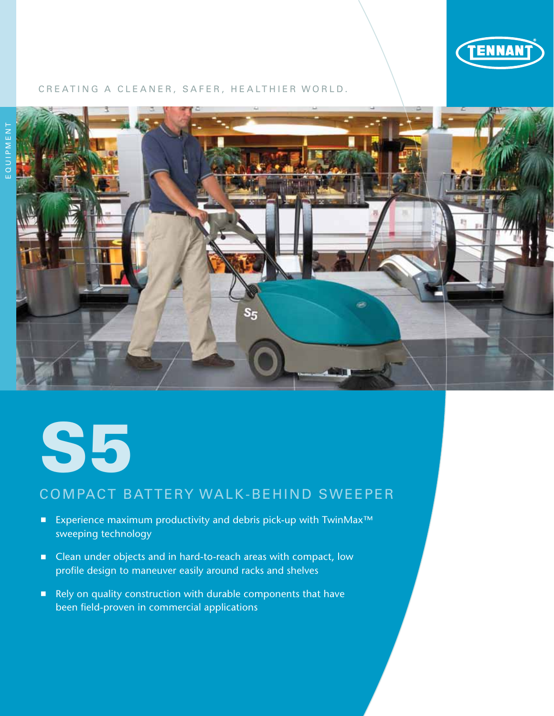

#### CREATING A CLEANER, SAFER, HEALTHIER WORLD.





# Compact Battery walk-behind Sweeper

- Experience maximum productivity and debris pick-up with TwinMax<sup>™</sup> sweeping technology
- Clean under objects and in hard-to-reach areas with compact, low profile design to maneuver easily around racks and shelves
- Rely on quality construction with durable components that have been field-proven in commercial applications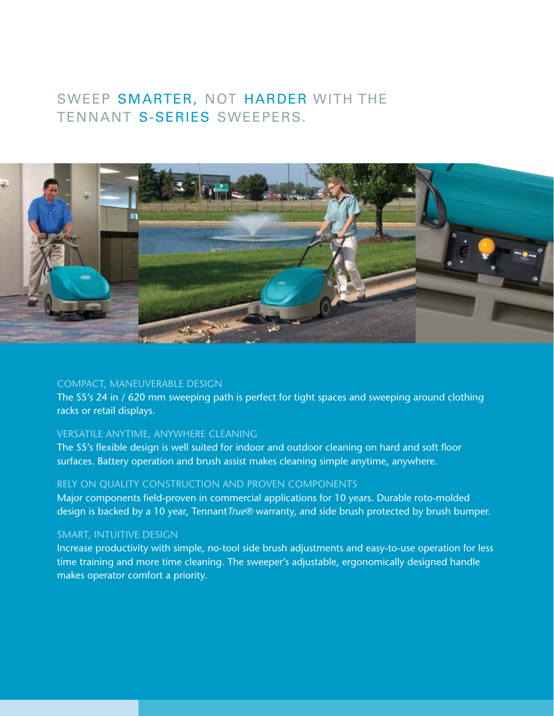# SWEEP SMARTER, NOT HARDER with the TENNANT S-SERIES SWEEPERS.



#### COMPACT, MANEUVERABLE DESIGN

The S5's 24 in / 620 mm sweeping path is perfect for tight spaces and sweeping around clothing racks or retail displays.

## VERSATILE ANYTIME, ANYWHERE CLEANING

The S5's flexible design is well suited for indoor and outdoor cleaning on hard and soft floor surfaces. Battery operation and brush assist makes cleaning simple anytime, anywhere.

### RELY ON QUALITY CONSTRUCTION AND PROVEN COMPONENTS

Major components field-proven in commercial applications for 10 years. Durable roto-molded design is backed by a 10 year, Tennant*True®* warranty, and side brush protected by brush bumper.

#### smart, INTUITIVE DESIGN

Increase productivity with simple, no-tool side brush adjustments and easy-to-use operation for less time training and more time cleaning. The sweeper's adjustable, ergonomically designed handle makes operator comfort a priority.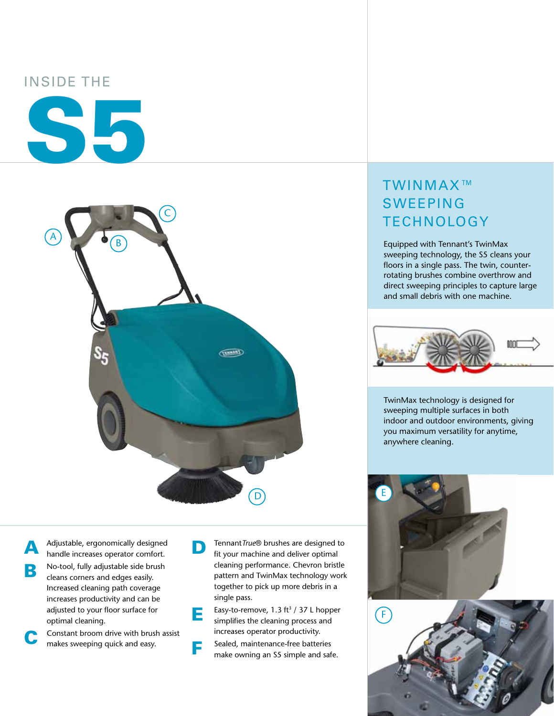## Inside the





A Adjustable, ergonomically designed<br>handle increases operator comfort. **B** No-tool, fully adjustable side brush cleans corners and edges easily. Increased cleaning path coverage increases productivity and can be adjusted to your floor surface for optimal cleaning.

Constant broom drive with brush assist makes sweeping quick and easy.

**D** Tennant *True*® brushes are designed to fit your machine and deliver optimal cleaning performance. Chevron bristle pattern and TwinMax technology work together to pick up more debris in a single pass.

**EXECUTE:** Easy-to-remove, 1.3 ft<sup>3</sup> / 37 L hopper simplifies the cleaning process and increases operator productivity.

**F** Sealed, maintenance-free batteries make owning an S5 simple and safe.

# TwinMax™ **SWEEPING TECHNOLOGY**

Equipped with Tennant's TwinMax sweeping technology, the S5 cleans your floors in a single pass. The twin, counterrotating brushes combine overthrow and direct sweeping principles to capture large and small debris with one machine.



TwinMax technology is designed for sweeping multiple surfaces in both indoor and outdoor environments, giving you maximum versatility for anytime, anywhere cleaning.